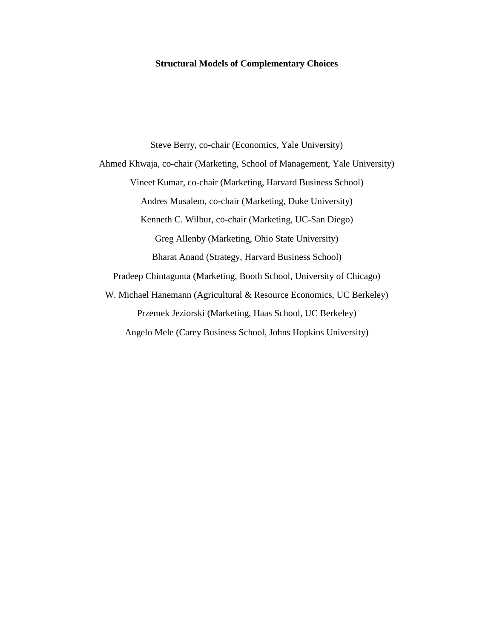#### **Structural Models of Complementary Choices**

Steve Berry, co-chair (Economics, Yale University) Ahmed Khwaja, co-chair (Marketing, School of Management, Yale University) Vineet Kumar, co-chair (Marketing, Harvard Business School) Andres Musalem, co-chair (Marketing, Duke University) Kenneth C. Wilbur, co-chair (Marketing, UC-San Diego) Greg Allenby (Marketing, Ohio State University) Bharat Anand (Strategy, Harvard Business School) Pradeep Chintagunta (Marketing, Booth School, University of Chicago) W. Michael Hanemann (Agricultural & Resource Economics, UC Berkeley) Przemek Jeziorski (Marketing, Haas School, UC Berkeley) Angelo Mele (Carey Business School, Johns Hopkins University)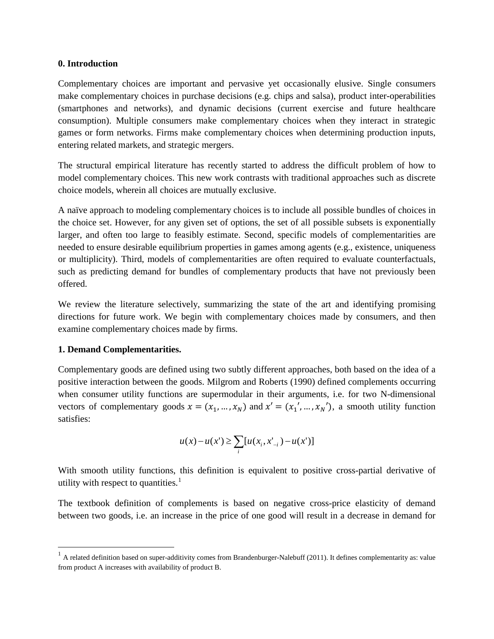#### **0. Introduction**

Complementary choices are important and pervasive yet occasionally elusive. Single consumers make complementary choices in purchase decisions (e.g. chips and salsa), product inter-operabilities (smartphones and networks), and dynamic decisions (current exercise and future healthcare consumption). Multiple consumers make complementary choices when they interact in strategic games or form networks. Firms make complementary choices when determining production inputs, entering related markets, and strategic mergers.

The structural empirical literature has recently started to address the difficult problem of how to model complementary choices. This new work contrasts with traditional approaches such as discrete choice models, wherein all choices are mutually exclusive.

A naïve approach to modeling complementary choices is to include all possible bundles of choices in the choice set. However, for any given set of options, the set of all possible subsets is exponentially larger, and often too large to feasibly estimate. Second, specific models of complementarities are needed to ensure desirable equilibrium properties in games among agents (e.g., existence, uniqueness or multiplicity). Third, models of complementarities are often required to evaluate counterfactuals, such as predicting demand for bundles of complementary products that have not previously been offered.

We review the literature selectively, summarizing the state of the art and identifying promising directions for future work. We begin with complementary choices made by consumers, and then examine complementary choices made by firms.

### **1. Demand Complementarities.**

 $\overline{\phantom{a}}$ 

Complementary goods are defined using two subtly different approaches, both based on the idea of a positive interaction between the goods. Milgrom and Roberts (1990) defined complements occurring when consumer utility functions are supermodular in their arguments, i.e. for two N-dimensional vectors of complementary goods  $x = (x_1, ..., x_N)$  and  $x' = (x'_1, ..., x'_N)$ , a smooth utility function satisfies:

$$
u(x) - u(x') \ge \sum_{i} [u(x_i, x'_{-i}) - u(x')]
$$

With smooth utility functions, this definition is equivalent to positive cross-partial derivative of utility with respect to quantities.<sup>[1](#page-11-0)</sup>

The textbook definition of complements is based on negative cross-price elasticity of demand between two goods, i.e. an increase in the price of one good will result in a decrease in demand for

 $1$  A related definition based on super-additivity comes from Brandenburger-Nalebuff (2011). It defines complementarity as: value from product A increases with availability of product B.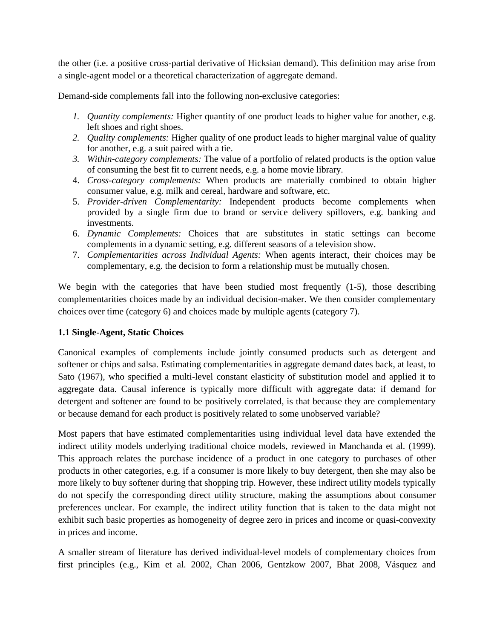the other (i.e. a positive cross-partial derivative of Hicksian demand). This definition may arise from a single-agent model or a theoretical characterization of aggregate demand.

Demand-side complements fall into the following non-exclusive categories:

- *1. Quantity complements:* Higher quantity of one product leads to higher value for another, e.g. left shoes and right shoes.
- *2. Quality complements:* Higher quality of one product leads to higher marginal value of quality for another, e.g. a suit paired with a tie.
- *3. Within-category complements:* The value of a portfolio of related products is the option value of consuming the best fit to current needs, e.g. a home movie library.
- 4. *Cross-category complements:* When products are materially combined to obtain higher consumer value, e.g. milk and cereal, hardware and software, etc.
- 5. *Provider-driven Complementarity:* Independent products become complements when provided by a single firm due to brand or service delivery spillovers, e.g. banking and investments.
- 6. *Dynamic Complements:* Choices that are substitutes in static settings can become complements in a dynamic setting, e.g. different seasons of a television show.
- 7. *Complementarities across Individual Agents:* When agents interact, their choices may be complementary, e.g. the decision to form a relationship must be mutually chosen.

We begin with the categories that have been studied most frequently (1-5), those describing complementarities choices made by an individual decision-maker. We then consider complementary choices over time (category 6) and choices made by multiple agents (category 7).

# **1.1 Single-Agent, Static Choices**

Canonical examples of complements include jointly consumed products such as detergent and softener or chips and salsa. Estimating complementarities in aggregate demand dates back, at least, to Sato (1967), who specified a multi-level constant elasticity of substitution model and applied it to aggregate data. Causal inference is typically more difficult with aggregate data: if demand for detergent and softener are found to be positively correlated, is that because they are complementary or because demand for each product is positively related to some unobserved variable?

Most papers that have estimated complementarities using individual level data have extended the indirect utility models underlying traditional choice models, reviewed in Manchanda et al. (1999). This approach relates the purchase incidence of a product in one category to purchases of other products in other categories, e.g. if a consumer is more likely to buy detergent, then she may also be more likely to buy softener during that shopping trip. However, these indirect utility models typically do not specify the corresponding direct utility structure, making the assumptions about consumer preferences unclear. For example, the indirect utility function that is taken to the data might not exhibit such basic properties as homogeneity of degree zero in prices and income or quasi-convexity in prices and income.

A smaller stream of literature has derived individual-level models of complementary choices from first principles (e.g., Kim et al. 2002, Chan 2006, Gentzkow 2007, Bhat 2008, Vásquez and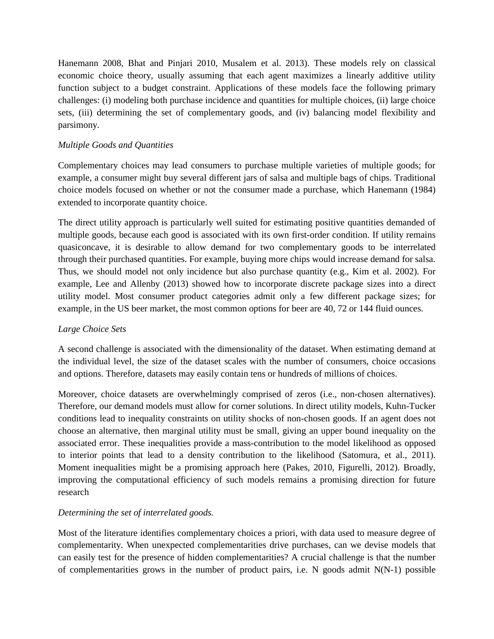Hanemann 2008, Bhat and Pinjari 2010, Musalem et al. 2013). These models rely on classical economic choice theory, usually assuming that each agent maximizes a linearly additive utility function subject to a budget constraint. Applications of these models face the following primary challenges: (i) modeling both purchase incidence and quantities for multiple choices, (ii) large choice sets, (iii) determining the set of complementary goods, and (iv) balancing model flexibility and parsimony.

### *Multiple Goods and Quantities*

Complementary choices may lead consumers to purchase multiple varieties of multiple goods; for example, a consumer might buy several different jars of salsa and multiple bags of chips. Traditional choice models focused on whether or not the consumer made a purchase, which Hanemann (1984) extended to incorporate quantity choice.

The direct utility approach is particularly well suited for estimating positive quantities demanded of multiple goods, because each good is associated with its own first-order condition. If utility remains quasiconcave, it is desirable to allow demand for two complementary goods to be interrelated through their purchased quantities. For example, buying more chips would increase demand for salsa. Thus, we should model not only incidence but also purchase quantity (e.g., Kim et al. 2002). For example, Lee and Allenby (2013) showed how to incorporate discrete package sizes into a direct utility model. Most consumer product categories admit only a few different package sizes; for example, in the US beer market, the most common options for beer are 40, 72 or 144 fluid ounces.

### *Large Choice Sets*

A second challenge is associated with the dimensionality of the dataset. When estimating demand at the individual level, the size of the dataset scales with the number of consumers, choice occasions and options. Therefore, datasets may easily contain tens or hundreds of millions of choices.

Moreover, choice datasets are overwhelmingly comprised of zeros (i.e., non-chosen alternatives). Therefore, our demand models must allow for corner solutions. In direct utility models, Kuhn-Tucker conditions lead to inequality constraints on utility shocks of non-chosen goods. If an agent does not choose an alternative, then marginal utility must be small, giving an upper bound inequality on the associated error. These inequalities provide a mass-contribution to the model likelihood as opposed to interior points that lead to a density contribution to the likelihood (Satomura, et al., 2011). Moment inequalities might be a promising approach here (Pakes, 2010, Figurelli, 2012). Broadly, improving the computational efficiency of such models remains a promising direction for future research

# *Determining the set of interrelated goods.*

Most of the literature identifies complementary choices a priori, with data used to measure degree of complementarity. When unexpected complementarities drive purchases, can we devise models that can easily test for the presence of hidden complementarities? A crucial challenge is that the number of complementarities grows in the number of product pairs, i.e. N goods admit N(N-1) possible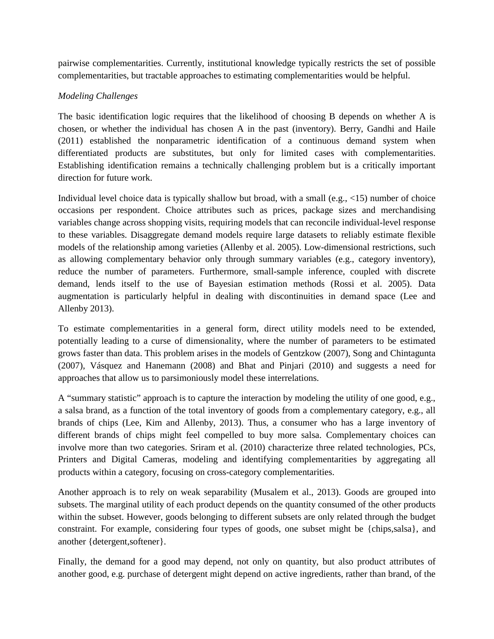pairwise complementarities. Currently, institutional knowledge typically restricts the set of possible complementarities, but tractable approaches to estimating complementarities would be helpful.

## *Modeling Challenges*

The basic identification logic requires that the likelihood of choosing B depends on whether A is chosen, or whether the individual has chosen A in the past (inventory). Berry, Gandhi and Haile (2011) established the nonparametric identification of a continuous demand system when differentiated products are substitutes, but only for limited cases with complementarities. Establishing identification remains a technically challenging problem but is a critically important direction for future work.

Individual level choice data is typically shallow but broad, with a small (e.g., <15) number of choice occasions per respondent. Choice attributes such as prices, package sizes and merchandising variables change across shopping visits, requiring models that can reconcile individual-level response to these variables. Disaggregate demand models require large datasets to reliably estimate flexible models of the relationship among varieties (Allenby et al. 2005). Low-dimensional restrictions, such as allowing complementary behavior only through summary variables (e.g., category inventory), reduce the number of parameters. Furthermore, small-sample inference, coupled with discrete demand, lends itself to the use of Bayesian estimation methods (Rossi et al. 2005). Data augmentation is particularly helpful in dealing with discontinuities in demand space (Lee and Allenby 2013).

To estimate complementarities in a general form, direct utility models need to be extended, potentially leading to a curse of dimensionality, where the number of parameters to be estimated grows faster than data. This problem arises in the models of Gentzkow (2007), Song and Chintagunta (2007), Vásquez and Hanemann (2008) and Bhat and Pinjari (2010) and suggests a need for approaches that allow us to parsimoniously model these interrelations.

A "summary statistic" approach is to capture the interaction by modeling the utility of one good, e.g., a salsa brand, as a function of the total inventory of goods from a complementary category, e.g., all brands of chips (Lee, Kim and Allenby, 2013). Thus, a consumer who has a large inventory of different brands of chips might feel compelled to buy more salsa. Complementary choices can involve more than two categories. Sriram et al. (2010) characterize three related technologies, PCs, Printers and Digital Cameras, modeling and identifying complementarities by aggregating all products within a category, focusing on cross-category complementarities.

Another approach is to rely on weak separability (Musalem et al., 2013). Goods are grouped into subsets. The marginal utility of each product depends on the quantity consumed of the other products within the subset. However, goods belonging to different subsets are only related through the budget constraint. For example, considering four types of goods, one subset might be {chips,salsa}, and another {detergent,softener}.

Finally, the demand for a good may depend, not only on quantity, but also product attributes of another good, e.g. purchase of detergent might depend on active ingredients, rather than brand, of the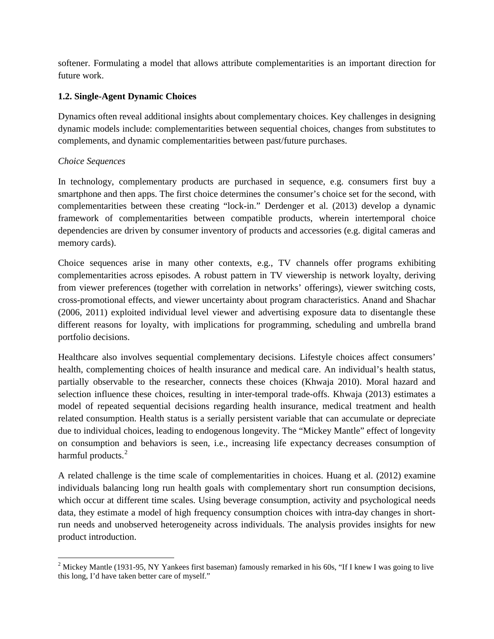softener. Formulating a model that allows attribute complementarities is an important direction for future work.

## **1.2. Single-Agent Dynamic Choices**

Dynamics often reveal additional insights about complementary choices. Key challenges in designing dynamic models include: complementarities between sequential choices, changes from substitutes to complements, and dynamic complementarities between past/future purchases.

### *Choice Sequences*

In technology, complementary products are purchased in sequence, e.g. consumers first buy a smartphone and then apps. The first choice determines the consumer's choice set for the second, with complementarities between these creating "lock-in." Derdenger et al. (2013) develop a dynamic framework of complementarities between compatible products, wherein intertemporal choice dependencies are driven by consumer inventory of products and accessories (e.g. digital cameras and memory cards).

Choice sequences arise in many other contexts, e.g., TV channels offer programs exhibiting complementarities across episodes. A robust pattern in TV viewership is network loyalty, deriving from viewer preferences (together with correlation in networks' offerings), viewer switching costs, cross-promotional effects, and viewer uncertainty about program characteristics. Anand and Shachar (2006, 2011) exploited individual level viewer and advertising exposure data to disentangle these different reasons for loyalty, with implications for programming, scheduling and umbrella brand portfolio decisions.

Healthcare also involves sequential complementary decisions. Lifestyle choices affect consumers' health, complementing choices of health insurance and medical care. An individual's health status, partially observable to the researcher, connects these choices (Khwaja 2010). Moral hazard and selection influence these choices, resulting in inter-temporal trade-offs. Khwaja (2013) estimates a model of repeated sequential decisions regarding health insurance, medical treatment and health related consumption. Health status is a serially persistent variable that can accumulate or depreciate due to individual choices, leading to endogenous longevity. The "Mickey Mantle" effect of longevity on consumption and behaviors is seen, i.e., increasing life expectancy decreases consumption of harmful products.<sup>[2](#page-5-0)</sup>

A related challenge is the time scale of complementarities in choices. Huang et al. (2012) examine individuals balancing long run health goals with complementary short run consumption decisions, which occur at different time scales. Using beverage consumption, activity and psychological needs data, they estimate a model of high frequency consumption choices with intra-day changes in shortrun needs and unobserved heterogeneity across individuals. The analysis provides insights for new product introduction.

<span id="page-5-0"></span><sup>&</sup>lt;sup>2</sup> Mickey Mantle (1931-95, NY Yankees first baseman) famously remarked in his 60s, "If I knew I was going to live this long, I'd have taken better care of myself."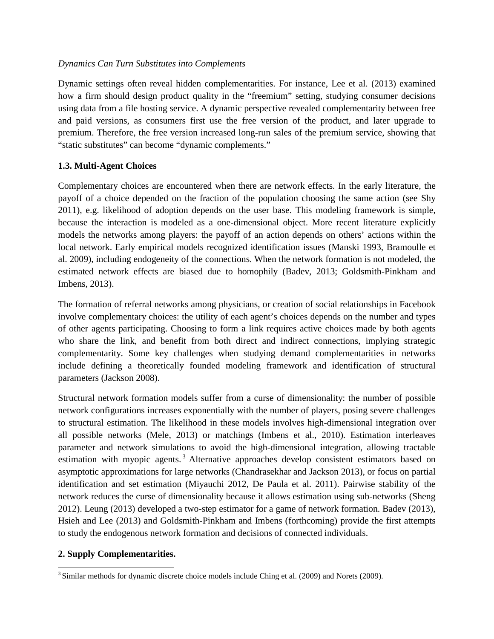#### *Dynamics Can Turn Substitutes into Complements*

Dynamic settings often reveal hidden complementarities. For instance, Lee et al. (2013) examined how a firm should design product quality in the "freemium" setting, studying consumer decisions using data from a file hosting service. A dynamic perspective revealed complementarity between free and paid versions, as consumers first use the free version of the product, and later upgrade to premium. Therefore, the free version increased long-run sales of the premium service, showing that "static substitutes" can become "dynamic complements."

### **1.3. Multi-Agent Choices**

Complementary choices are encountered when there are network effects. In the early literature, the payoff of a choice depended on the fraction of the population choosing the same action (see Shy 2011), e.g. likelihood of adoption depends on the user base. This modeling framework is simple, because the interaction is modeled as a one-dimensional object. More recent literature explicitly models the networks among players: the payoff of an action depends on others' actions within the local network. Early empirical models recognized identification issues (Manski 1993, Bramoulle et al. 2009), including endogeneity of the connections. When the network formation is not modeled, the estimated network effects are biased due to homophily (Badev, 2013; Goldsmith-Pinkham and Imbens, 2013).

The formation of referral networks among physicians, or creation of social relationships in Facebook involve complementary choices: the utility of each agent's choices depends on the number and types of other agents participating. Choosing to form a link requires active choices made by both agents who share the link, and benefit from both direct and indirect connections, implying strategic complementarity. Some key challenges when studying demand complementarities in networks include defining a theoretically founded modeling framework and identification of structural parameters (Jackson 2008).

Structural network formation models suffer from a curse of dimensionality: the number of possible network configurations increases exponentially with the number of players, posing severe challenges to structural estimation. The likelihood in these models involves high-dimensional integration over all possible networks (Mele, 2013) or matchings (Imbens et al., 2010). Estimation interleaves parameter and network simulations to avoid the high-dimensional integration, allowing tractable estimation with myopic agents.<sup>[3](#page-6-0)</sup> Alternative approaches develop consistent estimators based on asymptotic approximations for large networks (Chandrasekhar and Jackson 2013), or focus on partial identification and set estimation (Miyauchi 2012, De Paula et al. 2011). Pairwise stability of the network reduces the curse of dimensionality because it allows estimation using sub-networks (Sheng 2012). Leung (2013) developed a two-step estimator for a game of network formation. Badev (2013), Hsieh and Lee (2013) and Goldsmith-Pinkham and Imbens (forthcoming) provide the first attempts to study the endogenous network formation and decisions of connected individuals.

### **2. Supply Complementarities.**

<span id="page-6-0"></span><sup>&</sup>lt;sup>3</sup> Similar methods for dynamic discrete choice models include Ching et al. (2009) and Norets (2009).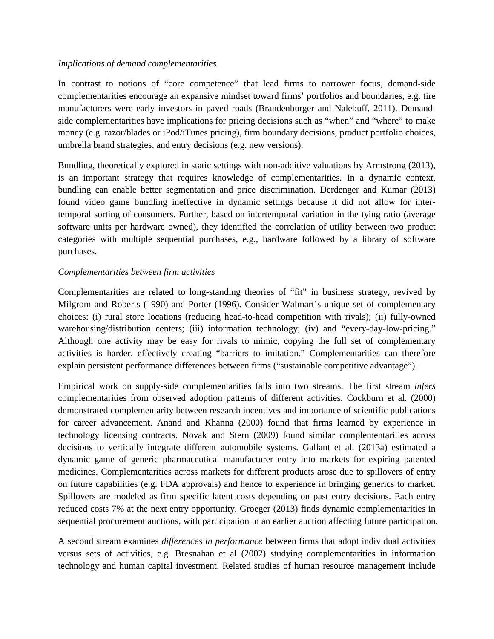#### *Implications of demand complementarities*

In contrast to notions of "core competence" that lead firms to narrower focus, demand-side complementarities encourage an expansive mindset toward firms' portfolios and boundaries, e.g. tire manufacturers were early investors in paved roads (Brandenburger and Nalebuff, 2011). Demandside complementarities have implications for pricing decisions such as "when" and "where" to make money (e.g. razor/blades or iPod/iTunes pricing), firm boundary decisions, product portfolio choices, umbrella brand strategies, and entry decisions (e.g. new versions).

Bundling, theoretically explored in static settings with non-additive valuations by Armstrong (2013), is an important strategy that requires knowledge of complementarities. In a dynamic context, bundling can enable better segmentation and price discrimination. Derdenger and Kumar (2013) found video game bundling ineffective in dynamic settings because it did not allow for intertemporal sorting of consumers. Further, based on intertemporal variation in the tying ratio (average software units per hardware owned), they identified the correlation of utility between two product categories with multiple sequential purchases, e.g., hardware followed by a library of software purchases.

### *Complementarities between firm activities*

Complementarities are related to long-standing theories of "fit" in business strategy, revived by Milgrom and Roberts (1990) and Porter (1996). Consider Walmart's unique set of complementary choices: (i) rural store locations (reducing head-to-head competition with rivals); (ii) fully-owned warehousing/distribution centers; (iii) information technology; (iv) and "every-day-low-pricing." Although one activity may be easy for rivals to mimic, copying the full set of complementary activities is harder, effectively creating "barriers to imitation." Complementarities can therefore explain persistent performance differences between firms ("sustainable competitive advantage").

Empirical work on supply-side complementarities falls into two streams. The first stream *infers*  complementarities from observed adoption patterns of different activities. Cockburn et al. (2000) demonstrated complementarity between research incentives and importance of scientific publications for career advancement. Anand and Khanna (2000) found that firms learned by experience in technology licensing contracts. Novak and Stern (2009) found similar complementarities across decisions to vertically integrate different automobile systems. Gallant et al. (2013a) estimated a dynamic game of generic pharmaceutical manufacturer entry into markets for expiring patented medicines. Complementarities across markets for different products arose due to spillovers of entry on future capabilities (e.g. FDA approvals) and hence to experience in bringing generics to market. Spillovers are modeled as firm specific latent costs depending on past entry decisions. Each entry reduced costs 7% at the next entry opportunity. Groeger (2013) finds dynamic complementarities in sequential procurement auctions, with participation in an earlier auction affecting future participation.

A second stream examines *differences in performance* between firms that adopt individual activities versus sets of activities, e.g. Bresnahan et al (2002) studying complementarities in information technology and human capital investment. Related studies of human resource management include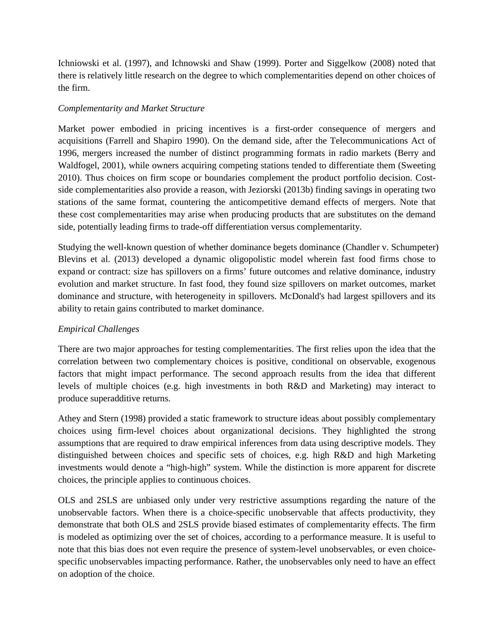Ichniowski et al. (1997), and Ichnowski and Shaw (1999). Porter and Siggelkow (2008) noted that there is relatively little research on the degree to which complementarities depend on other choices of the firm.

### *Complementarity and Market Structure*

Market power embodied in pricing incentives is a first-order consequence of mergers and acquisitions (Farrell and Shapiro 1990). On the demand side, after the Telecommunications Act of 1996, mergers increased the number of distinct programming formats in radio markets (Berry and Waldfogel, 2001), while owners acquiring competing stations tended to differentiate them (Sweeting 2010). Thus choices on firm scope or boundaries complement the product portfolio decision. Costside complementarities also provide a reason, with Jeziorski (2013b) finding savings in operating two stations of the same format, countering the anticompetitive demand effects of mergers. Note that these cost complementarities may arise when producing products that are substitutes on the demand side, potentially leading firms to trade-off differentiation versus complementarity.

Studying the well-known question of whether dominance begets dominance (Chandler v. Schumpeter) Blevins et al. (2013) developed a dynamic oligopolistic model wherein fast food firms chose to expand or contract: size has spillovers on a firms' future outcomes and relative dominance, industry evolution and market structure. In fast food, they found size spillovers on market outcomes, market dominance and structure, with heterogeneity in spillovers. McDonald's had largest spillovers and its ability to retain gains contributed to market dominance.

# *Empirical Challenges*

There are two major approaches for testing complementarities. The first relies upon the idea that the correlation between two complementary choices is positive, conditional on observable, exogenous factors that might impact performance. The second approach results from the idea that different levels of multiple choices (e.g. high investments in both R&D and Marketing) may interact to produce superadditive returns.

Athey and Stern (1998) provided a static framework to structure ideas about possibly complementary choices using firm-level choices about organizational decisions. They highlighted the strong assumptions that are required to draw empirical inferences from data using descriptive models. They distinguished between choices and specific sets of choices, e.g. high R&D and high Marketing investments would denote a "high-high" system. While the distinction is more apparent for discrete choices, the principle applies to continuous choices.

OLS and 2SLS are unbiased only under very restrictive assumptions regarding the nature of the unobservable factors. When there is a choice-specific unobservable that affects productivity, they demonstrate that both OLS and 2SLS provide biased estimates of complementarity effects. The firm is modeled as optimizing over the set of choices, according to a performance measure. It is useful to note that this bias does not even require the presence of system-level unobservables, or even choicespecific unobservables impacting performance. Rather, the unobservables only need to have an effect on adoption of the choice.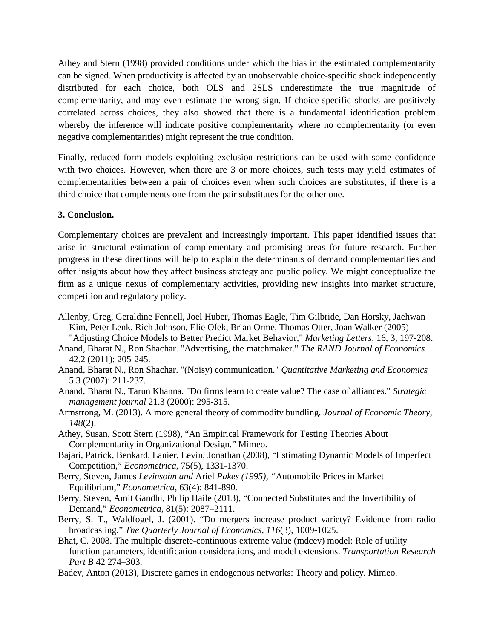Athey and Stern (1998) provided conditions under which the bias in the estimated complementarity can be signed. When productivity is affected by an unobservable choice-specific shock independently distributed for each choice, both OLS and 2SLS underestimate the true magnitude of complementarity, and may even estimate the wrong sign. If choice-specific shocks are positively correlated across choices, they also showed that there is a fundamental identification problem whereby the inference will indicate positive complementarity where no complementarity (or even negative complementarities) might represent the true condition.

Finally, reduced form models exploiting exclusion restrictions can be used with some confidence with two choices. However, when there are 3 or more choices, such tests may yield estimates of complementarities between a pair of choices even when such choices are substitutes, if there is a third choice that complements one from the pair substitutes for the other one.

### **3. Conclusion.**

Complementary choices are prevalent and increasingly important. This paper identified issues that arise in structural estimation of complementary and promising areas for future research. Further progress in these directions will help to explain the determinants of demand complementarities and offer insights about how they affect business strategy and public policy. We might conceptualize the firm as a unique nexus of complementary activities, providing new insights into market structure, competition and regulatory policy.

- Allenby, Greg, Geraldine Fennell, Joel Huber, Thomas Eagle, Tim Gilbride, Dan Horsky, Jaehwan Kim, Peter Lenk, Rich Johnson, Elie Ofek, Brian Orme, Thomas Otter, Joan Walker (2005) "Adjusting Choice Models to Better Predict Market Behavior," *Marketing Letters*, 16, 3, 197-208.
- Anand, Bharat N., Ron Shachar. "Advertising, the matchmaker." *The RAND Journal of Economics* 42.2 (2011): 205-245.
- Anand, Bharat N., Ron Shachar. "(Noisy) communication." *Quantitative Marketing and Economics* 5.3 (2007): 211-237.
- Anand, Bharat N., Tarun Khanna. "Do firms learn to create value? The case of alliances." *Strategic management journal* 21.3 (2000): 295-315.
- Armstrong, M. (2013). A more general theory of commodity bundling. *Journal of Economic Theory*, *148*(2).
- Athey, Susan, Scott Stern (1998), "An Empirical Framework for Testing Theories About Complementarity in Organizational Design." Mimeo.
- Bajari, Patrick, Benkard, Lanier, Levin, Jonathan (2008), "Estimating Dynamic Models of Imperfect Competition," *Econometrica*, 75(5), 1331-1370.
- Berry*,* Steven, James *Levinsohn and* Ariel *Pakes (1995), "*Automobile Prices in Market Equilibrium," *Econometrica*, 63(4): 841-890*.*
- Berry, Steven, Amit Gandhi, Philip Haile (2013), "Connected Substitutes and the Invertibility of Demand," *Econometrica*, 81(5): 2087–2111.
- Berry, S. T., Waldfogel, J. (2001). "Do mergers increase product variety? Evidence from radio broadcasting." *The Quarterly Journal of Economics*, *116*(3), 1009-1025.
- Bhat, C. 2008. The multiple discrete-continuous extreme value (mdcev) model: Role of utility function parameters, identification considerations, and model extensions. *Transportation Research Part B* 42 274–303.
- Badev, Anton (2013), Discrete games in endogenous networks: Theory and policy. Mimeo.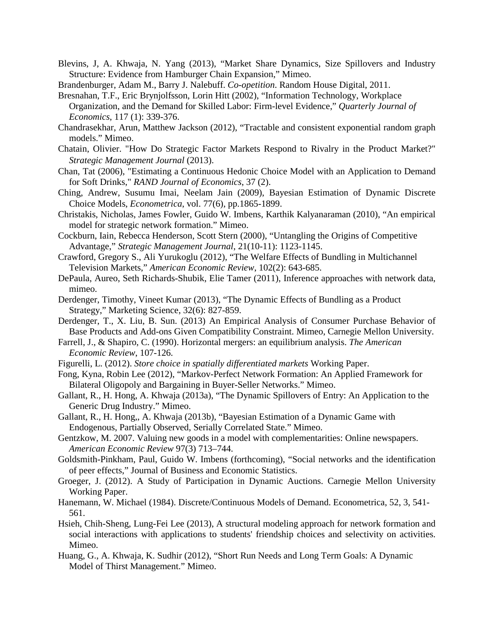- Blevins, J, A. Khwaja, N. Yang (2013), "Market Share Dynamics, Size Spillovers and Industry Structure: Evidence from Hamburger Chain Expansion," Mimeo.
- Brandenburger, Adam M., Barry J. Nalebuff. *Co-opetition*. Random House Digital, 2011.
- Bresnahan, T.F., Eric Brynjolfsson, Lorin Hitt (2002), "Information Technology, Workplace Organization, and the Demand for Skilled Labor: Firm-level Evidence," *Quarterly Journal of Economics*, 117 (1): 339-376.
- Chandrasekhar, Arun, Matthew Jackson (2012), "Tractable and consistent exponential random graph models." Mimeo.
- Chatain, Olivier. "How Do Strategic Factor Markets Respond to Rivalry in the Product Market?" *Strategic Management Journal* (2013).
- Chan, Tat (2006), "Estimating a Continuous Hedonic Choice Model with an Application to Demand for Soft Drinks," *RAND Journal of Economics*, 37 (2).
- Ching, Andrew, Susumu Imai, Neelam Jain (2009), Bayesian Estimation of Dynamic Discrete Choice Models, *Econometrica*, vol. 77(6), pp.1865-1899.
- Christakis, Nicholas, James Fowler, Guido W. Imbens, Karthik Kalyanaraman (2010), "An empirical model for strategic network formation." Mimeo.
- Cockburn, Iain, Rebecca Henderson, Scott Stern (2000), "Untangling the Origins of Competitive Advantage," *Strategic Management Journal*, 21(10-11): 1123-1145.
- Crawford, Gregory S., Ali Yurukoglu (2012), "The Welfare Effects of Bundling in Multichannel Television Markets," *American Economic Review*, 102(2): 643-685.
- DePaula, Aureo, Seth Richards-Shubik, Elie Tamer (2011), Inference approaches with network data, mimeo.
- Derdenger, Timothy, Vineet Kumar (2013), "The Dynamic Effects of Bundling as a Product Strategy," Marketing Science, 32(6): 827-859.
- Derdenger, T., X. Liu, B. Sun. (2013) An Empirical Analysis of Consumer Purchase Behavior of Base Products and Add-ons Given Compatibility Constraint. Mimeo, Carnegie Mellon University.
- Farrell, J., & Shapiro, C. (1990). Horizontal mergers: an equilibrium analysis. *The American Economic Review*, 107-126.
- Figurelli, L. (2012). *Store choice in spatially differentiated markets* Working Paper.
- Fong, Kyna, Robin Lee (2012), "Markov-Perfect Network Formation: An Applied Framework for Bilateral Oligopoly and Bargaining in Buyer-Seller Networks." Mimeo.
- Gallant, R., H. Hong, A. Khwaja (2013a), "The Dynamic Spillovers of Entry: An Application to the Generic Drug Industry." Mimeo.
- Gallant, R., H. Hong,, A. Khwaja (2013b), "Bayesian Estimation of a Dynamic Game with Endogenous, Partially Observed, Serially Correlated State." Mimeo.
- Gentzkow, M. 2007. Valuing new goods in a model with complementarities: Online newspapers. *American Economic Review* 97(3) 713–744.
- Goldsmith-Pinkham, Paul, Guido W. Imbens (forthcoming), "Social networks and the identification of peer effects," Journal of Business and Economic Statistics.
- Groeger, J. (2012). A Study of Participation in Dynamic Auctions. Carnegie Mellon University Working Paper.
- Hanemann, W. Michael (1984). Discrete/Continuous Models of Demand. Econometrica, 52, 3, 541- 561.
- Hsieh, Chih-Sheng, Lung-Fei Lee (2013), A structural modeling approach for network formation and social interactions with applications to students' friendship choices and selectivity on activities. Mimeo.
- Huang, G., A. Khwaja, K. Sudhir (2012), "Short Run Needs and Long Term Goals: A Dynamic Model of Thirst Management." Mimeo.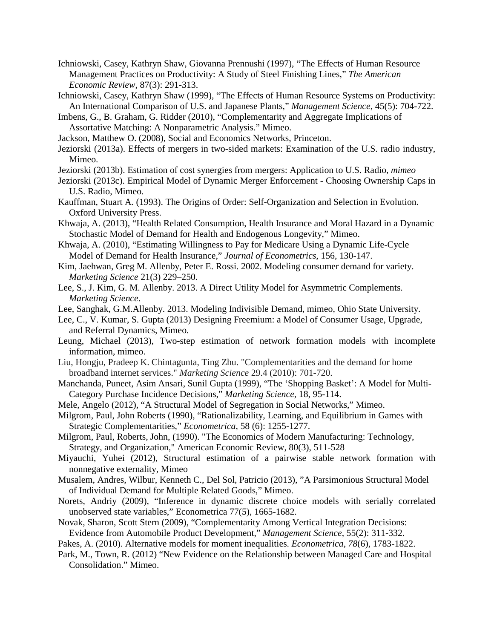Ichniowski, Casey, Kathryn Shaw, Giovanna Prennushi (1997), "The Effects of Human Resource Management Practices on Productivity: A Study of Steel Finishing Lines," *The American Economic Review*, 87(3): 291-313.

Ichniowski, Casey, Kathryn Shaw (1999), "The Effects of Human Resource Systems on Productivity: An International Comparison of U.S. and Japanese Plants," *Management Science*, 45(5): 704-722.

Imbens, G., B. Graham, G. Ridder (2010), "Complementarity and Aggregate Implications of Assortative Matching: A Nonparametric Analysis." Mimeo.

Jackson, Matthew O. (2008), Social and Economics Networks, Princeton.

- Jeziorski (2013a). Effects of mergers in two-sided markets: Examination of the U.S. radio industry, Mimeo.
- Jeziorski (2013b). Estimation of cost synergies from mergers: Application to U.S. Radio, *mimeo*
- Jeziorski (2013c). Empirical Model of Dynamic Merger Enforcement Choosing Ownership Caps in U.S. Radio, Mimeo.
- Kauffman, Stuart A. (1993). The Origins of Order: Self-Organization and Selection in Evolution. Oxford University Press.
- Khwaja, A. (2013), "Health Related Consumption, Health Insurance and Moral Hazard in a Dynamic Stochastic Model of Demand for Health and Endogenous Longevity," Mimeo.
- Khwaja, A. (2010), "Estimating Willingness to Pay for Medicare Using a Dynamic Life-Cycle Model of Demand for Health Insurance," *Journal of Econometrics*, 156, 130-147.
- Kim, Jaehwan, Greg M. Allenby, Peter E. Rossi. 2002. Modeling consumer demand for variety. *Marketing Science* 21(3) 229–250.
- Lee, S., J. Kim, G. M. Allenby. 2013. A Direct Utility Model for Asymmetric Complements. *Marketing Science*.

Lee, Sanghak, G.M.Allenby. 2013. Modeling Indivisible Demand, mimeo, Ohio State University.

- Lee, C., V. Kumar, S. Gupta (2013) Designing Freemium: a Model of Consumer Usage, Upgrade, and Referral Dynamics, Mimeo.
- Leung, Michael (2013), Two-step estimation of network formation models with incomplete information, mimeo.
- Liu, Hongju, Pradeep K. Chintagunta, Ting Zhu. "Complementarities and the demand for home broadband internet services." *Marketing Science* 29.4 (2010): 701-720.
- Manchanda, Puneet, Asim Ansari, Sunil Gupta (1999), "The 'Shopping Basket': A Model for Multi-Category Purchase Incidence Decisions," *Marketing Science*, 18, 95-114.
- Mele, Angelo (2012), "A Structural Model of Segregation in Social Networks," Mimeo.
- Milgrom, Paul, John Roberts (1990), "Rationalizability, Learning, and Equilibrium in Games with Strategic Complementarities," *Econometrica*, 58 (6): 1255-1277.
- Milgrom, Paul, Roberts, John, (1990). "The Economics of Modern Manufacturing: Technology, Strategy, and Organization," American Economic Review, 80(3), 511-528
- Miyauchi, Yuhei (2012), Structural estimation of a pairwise stable network formation with nonnegative externality, Mimeo
- Musalem, Andres, Wilbur, Kenneth C., Del Sol, Patricio (2013), "A Parsimonious Structural Model of Individual Demand for Multiple Related Goods," Mimeo.
- Norets, Andriy (2009), "Inference in dynamic discrete choice models with serially correlated unobserved state variables," Econometrica 77(5), 1665-1682.
- Novak, Sharon, Scott Stern (2009), "Complementarity Among Vertical Integration Decisions: Evidence from Automobile Product Development," *Management Science*, 55(2): 311-332.
- Pakes, A. (2010). Alternative models for moment inequalities. *Econometrica*, *78*(6), 1783-1822.
- <span id="page-11-0"></span>Park, M., Town, R. (2012) "New Evidence on the Relationship between Managed Care and Hospital Consolidation." Mimeo.